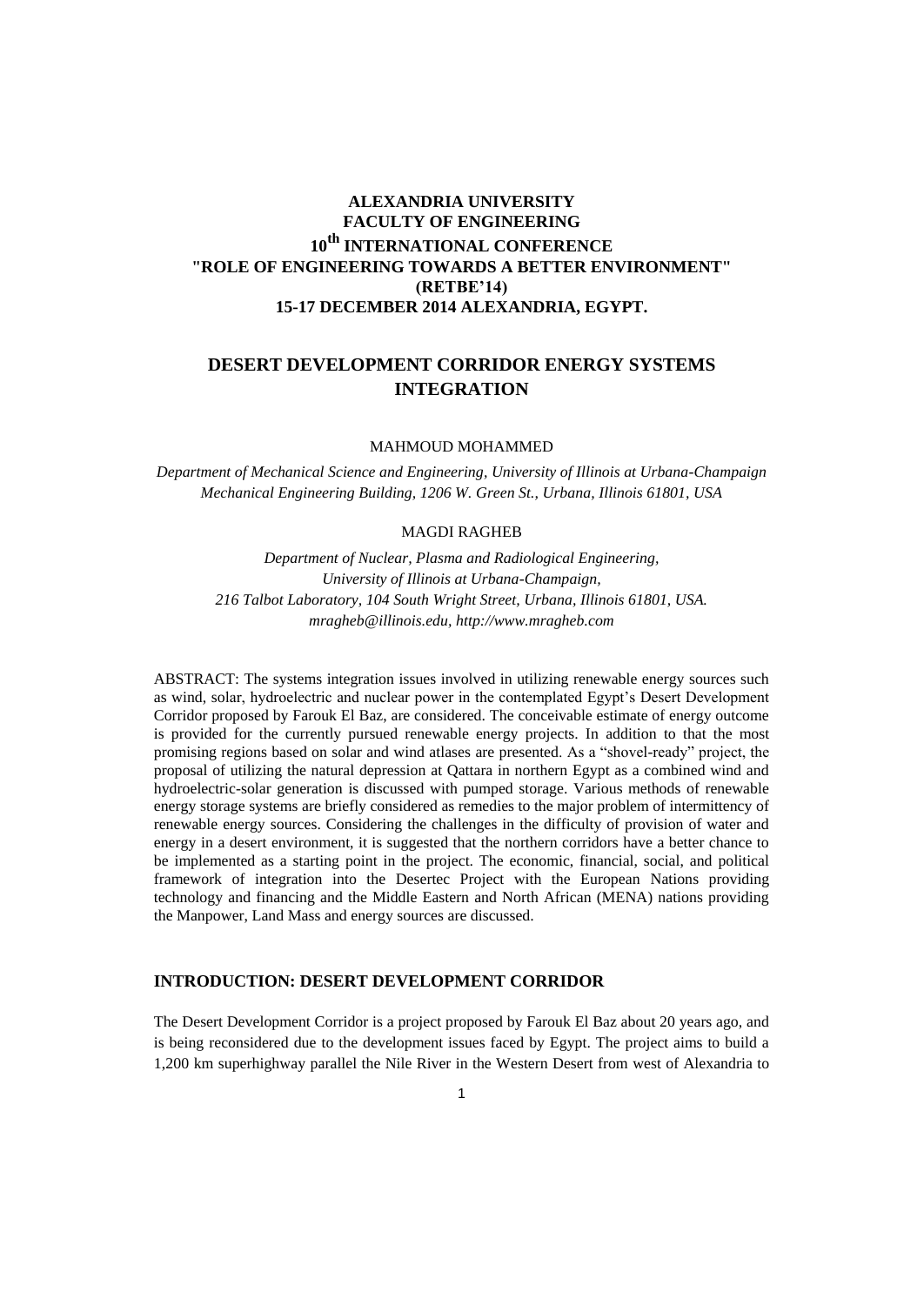# **ALEXANDRIA UNIVERSITY FACULTY OF ENGINEERING 10th INTERNATIONAL CONFERENCE "ROLE OF ENGINEERING TOWARDS A BETTER ENVIRONMENT" (RETBE'14) 15-17 DECEMBER 2014 ALEXANDRIA, EGYPT.**

# **DESERT DEVELOPMENT CORRIDOR ENERGY SYSTEMS INTEGRATION**

MAHMOUD MOHAMMED

*Department of Mechanical Science and Engineering, University of Illinois at Urbana-Champaign Mechanical Engineering Building, 1206 W. Green St., Urbana, Illinois 61801, USA* 

## MAGDI RAGHEB

*Department of Nuclear, Plasma and Radiological Engineering, University of Illinois at Urbana-Champaign, 216 Talbot Laboratory, 104 South Wright Street, Urbana, Illinois 61801, USA. mragheb@illinois.edu, http://www.mragheb.com* 

ABSTRACT: The systems integration issues involved in utilizing renewable energy sources such as wind, solar, hydroelectric and nuclear power in the contemplated Egypt's Desert Development Corridor proposed by Farouk El Baz, are considered. The conceivable estimate of energy outcome is provided for the currently pursued renewable energy projects. In addition to that the most promising regions based on solar and wind atlases are presented. As a "shovel-ready" project, the proposal of utilizing the natural depression at Qattara in northern Egypt as a combined wind and hydroelectric-solar generation is discussed with pumped storage. Various methods of renewable energy storage systems are briefly considered as remedies to the major problem of intermittency of renewable energy sources. Considering the challenges in the difficulty of provision of water and energy in a desert environment, it is suggested that the northern corridors have a better chance to be implemented as a starting point in the project. The economic, financial, social, and political framework of integration into the Desertec Project with the European Nations providing technology and financing and the Middle Eastern and North African (MENA) nations providing the Manpower, Land Mass and energy sources are discussed.

# **INTRODUCTION: DESERT DEVELOPMENT CORRIDOR**

The Desert Development Corridor is a project proposed by Farouk El Baz about 20 years ago, and is being reconsidered due to the development issues faced by Egypt. The project aims to build a 1,200 km superhighway parallel the Nile River in the Western Desert from west of Alexandria to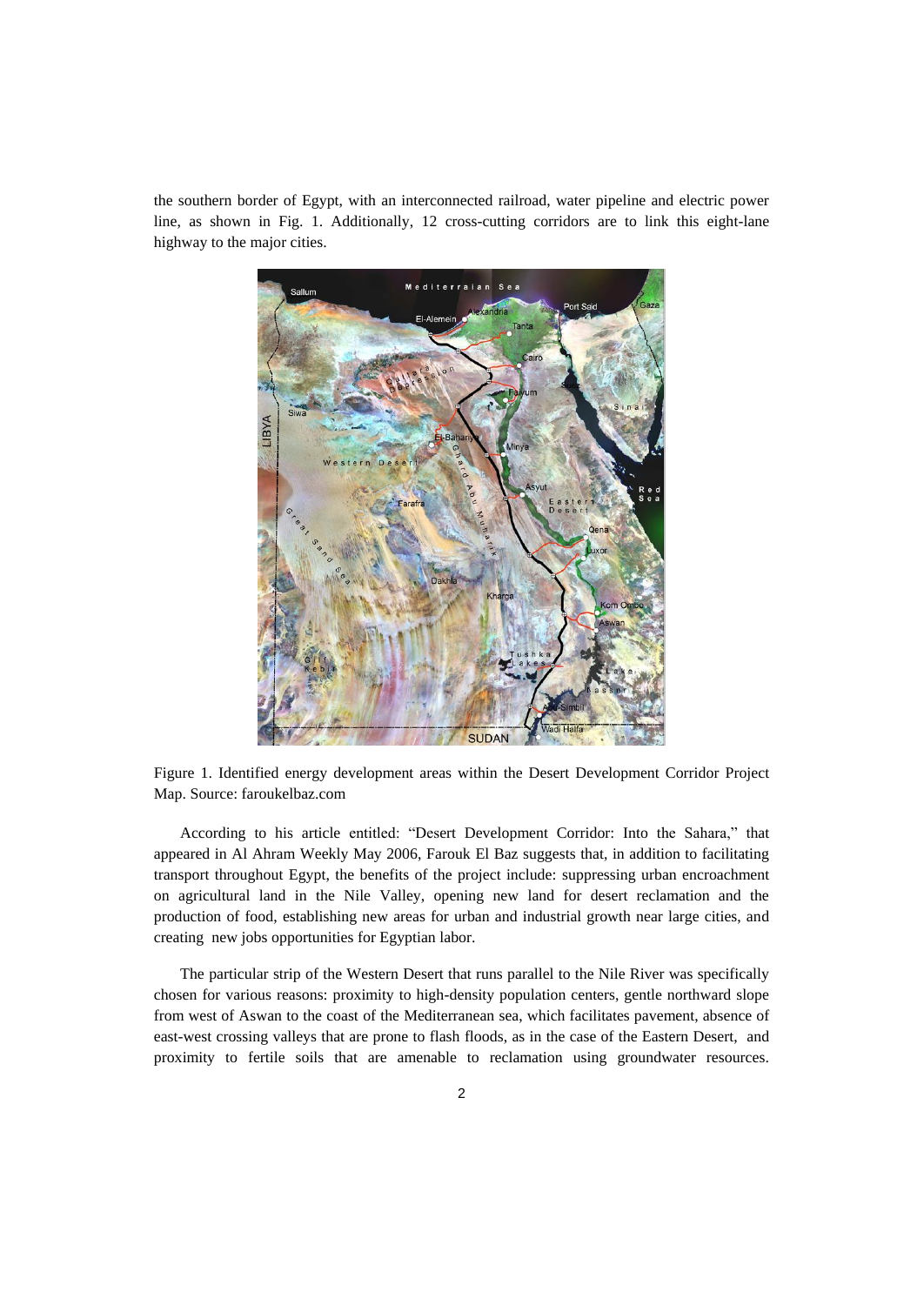the southern border of Egypt, with an interconnected railroad, water pipeline and electric power line, as shown in Fig. 1. Additionally, 12 cross-cutting corridors are to link this eight-lane highway to the major cities.



Figure 1. Identified energy development areas within the Desert Development Corridor Project Map. Source: faroukelbaz.com

According to his article entitled: "Desert Development Corridor: Into the Sahara," that appeared in Al Ahram Weekly May 2006, Farouk El Baz suggests that, in addition to facilitating transport throughout Egypt, the benefits of the project include: suppressing urban encroachment on agricultural land in the Nile Valley, opening new land for desert reclamation and the production of food, establishing new areas for urban and industrial growth near large cities, and creating new jobs opportunities for Egyptian labor.

The particular strip of the Western Desert that runs parallel to the Nile River was specifically chosen for various reasons: proximity to high-density population centers, gentle northward slope from west of Aswan to the coast of the Mediterranean sea, which facilitates pavement, absence of east-west crossing valleys that are prone to flash floods, as in the case of the Eastern Desert, and proximity to fertile soils that are amenable to reclamation using groundwater resources.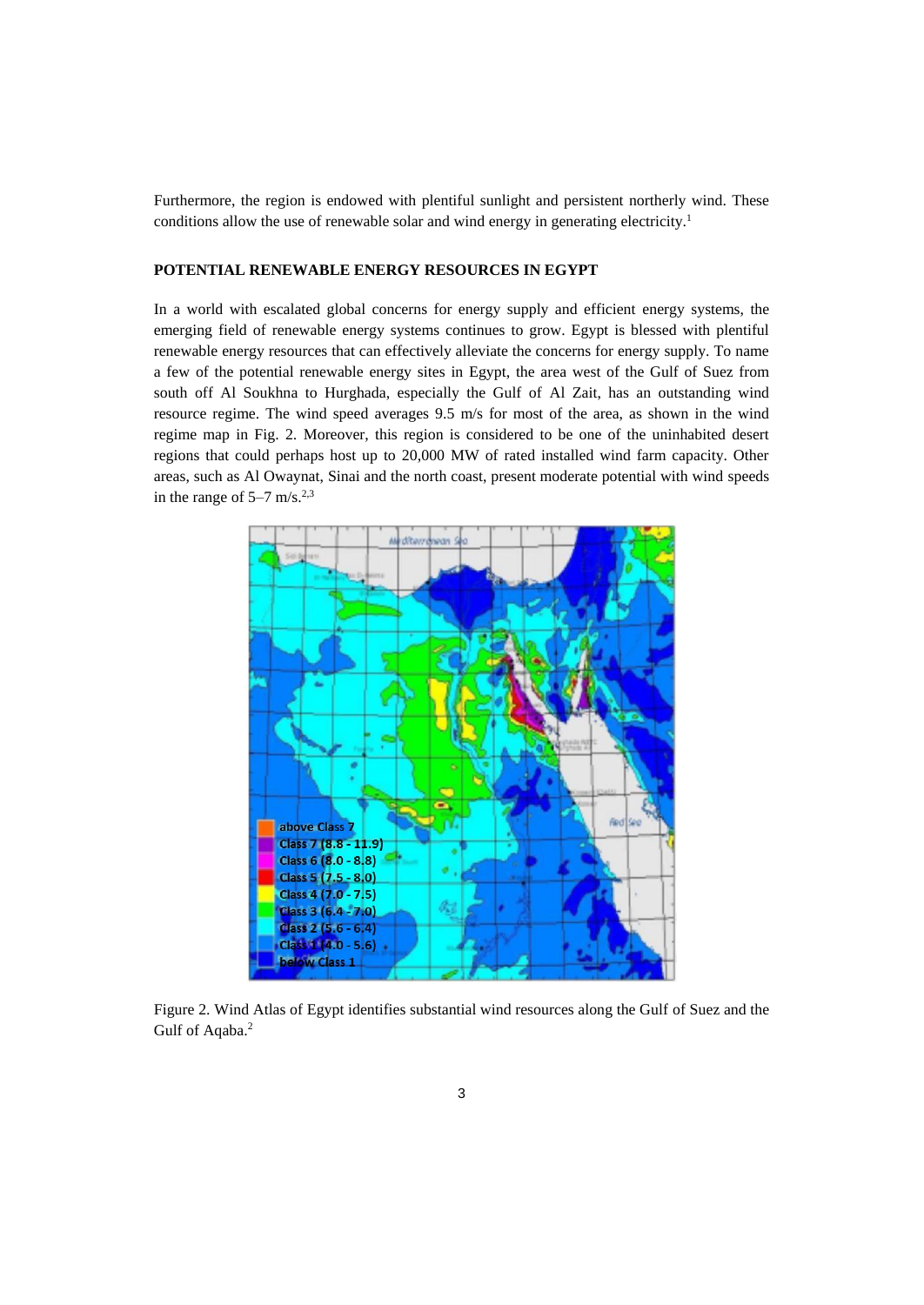Furthermore, the region is endowed with plentiful sunlight and persistent northerly wind. These conditions allow the use of renewable solar and wind energy in generating electricity.<sup>1</sup>

### **POTENTIAL RENEWABLE ENERGY RESOURCES IN EGYPT**

In a world with escalated global concerns for energy supply and efficient energy systems, the emerging field of renewable energy systems continues to grow. Egypt is blessed with plentiful renewable energy resources that can effectively alleviate the concerns for energy supply. To name a few of the potential renewable energy sites in Egypt, the area west of the Gulf of Suez from south off Al Soukhna to Hurghada, especially the Gulf of Al Zait, has an outstanding wind resource regime. The wind speed averages 9.5 m/s for most of the area, as shown in the wind regime map in Fig. 2. Moreover, this region is considered to be one of the uninhabited desert regions that could perhaps host up to 20,000 MW of rated installed wind farm capacity. Other areas, such as Al Owaynat, Sinai and the north coast, present moderate potential with wind speeds in the range of  $5-7$  m/s.<sup>2,3</sup>



Figure 2. Wind Atlas of Egypt identifies substantial wind resources along the Gulf of Suez and the Gulf of Aqaba.<sup>2</sup>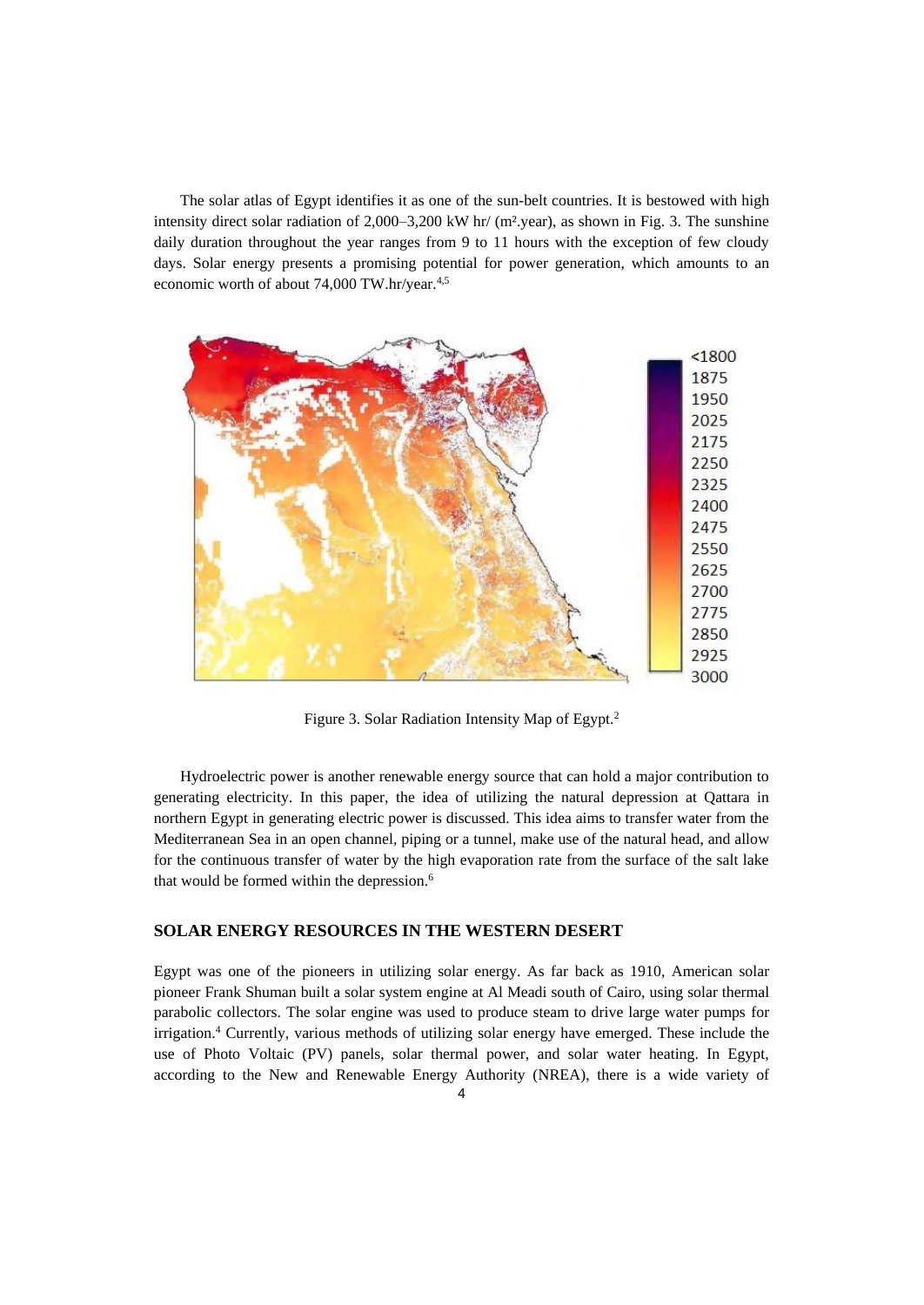The solar atlas of Egypt identifies it as one of the sun-belt countries. It is bestowed with high intensity direct solar radiation of 2,000–3,200 kW hr/ (m<sup>2</sup>, year), as shown in Fig. 3. The sunshine daily duration throughout the year ranges from 9 to 11 hours with the exception of few cloudy days. Solar energy presents a promising potential for power generation, which amounts to an economic worth of about 74,000 TW.hr/year.<sup>4,5</sup>



Figure 3. Solar Radiation Intensity Map of Egypt.<sup>2</sup>

Hydroelectric power is another renewable energy source that can hold a major contribution to generating electricity. In this paper, the idea of utilizing the natural depression at Qattara in northern Egypt in generating electric power is discussed. This idea aims to transfer water from the Mediterranean Sea in an open channel, piping or a tunnel, make use of the natural head, and allow for the continuous transfer of water by the high evaporation rate from the surface of the salt lake that would be formed within the depression.<sup>6</sup>

### **SOLAR ENERGY RESOURCES IN THE WESTERN DESERT**

Egypt was one of the pioneers in utilizing solar energy. As far back as 1910, American solar pioneer Frank Shuman built a solar system engine at Al Meadi south of Cairo, using solar thermal parabolic collectors. The solar engine was used to produce steam to drive large water pumps for irrigation.<sup>4</sup> Currently, various methods of utilizing solar energy have emerged. These include the use of Photo Voltaic (PV) panels, solar thermal power, and solar water heating. In Egypt, according to the New and Renewable Energy Authority (NREA), there is a wide variety of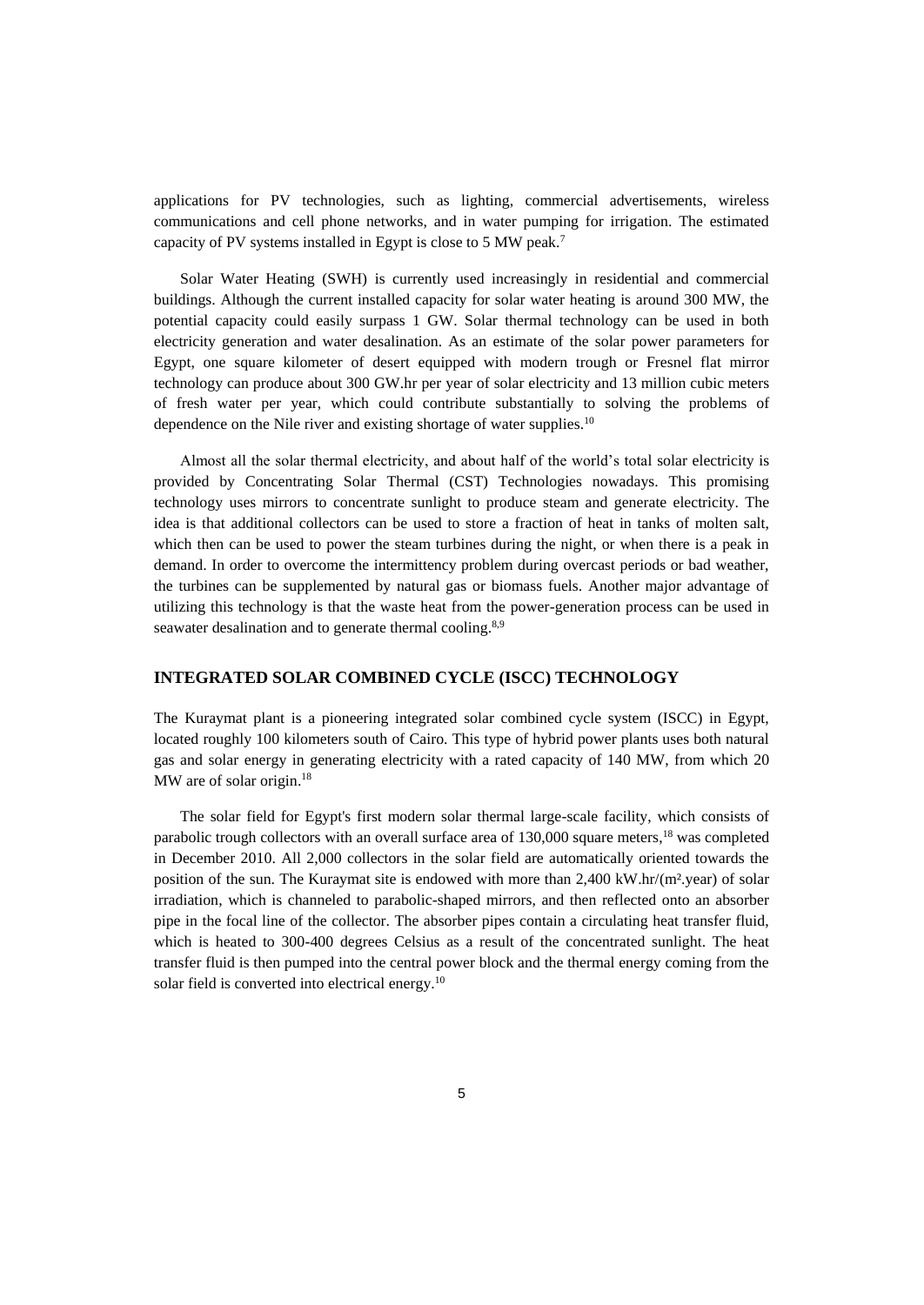applications for PV technologies, such as lighting, commercial advertisements, wireless communications and cell phone networks, and in water pumping for irrigation. The estimated capacity of PV systems installed in Egypt is close to 5 MW peak.<sup>7</sup>

Solar Water Heating (SWH) is currently used increasingly in residential and commercial buildings. Although the current installed capacity for solar water heating is around 300 MW, the potential capacity could easily surpass 1 GW. Solar thermal technology can be used in both electricity generation and water desalination. As an estimate of the solar power parameters for Egypt, one square kilometer of desert equipped with modern trough or Fresnel flat mirror technology can produce about 300 GW.hr per year of solar electricity and 13 million cubic meters of fresh water per year, which could contribute substantially to solving the problems of dependence on the Nile river and existing shortage of water supplies.<sup>10</sup>

Almost all the solar thermal electricity, and about half of the world's total solar electricity is provided by Concentrating Solar Thermal (CST) Technologies nowadays. This promising technology uses mirrors to concentrate sunlight to produce steam and generate electricity. The idea is that additional collectors can be used to store a fraction of heat in tanks of molten salt, which then can be used to power the steam turbines during the night, or when there is a peak in demand. In order to overcome the intermittency problem during overcast periods or bad weather, the turbines can be supplemented by natural gas or biomass fuels. Another major advantage of utilizing this technology is that the waste heat from the power-generation process can be used in seawater desalination and to generate thermal cooling.<sup>8,9</sup>

### **INTEGRATED SOLAR COMBINED CYCLE (ISCC) TECHNOLOGY**

The Kuraymat plant is a pioneering integrated solar combined cycle system (ISCC) in Egypt, located roughly 100 kilometers south of Cairo. This type of hybrid power plants uses both natural gas and solar energy in generating electricity with a rated capacity of 140 MW, from which 20 MW are of solar origin.<sup>18</sup>

The solar field for Egypt's first modern solar thermal large-scale facility, which consists of parabolic trough collectors with an overall surface area of 130,000 square meters,<sup>18</sup> was completed in December 2010. All 2,000 collectors in the solar field are automatically oriented towards the position of the sun. The Kuraymat site is endowed with more than 2,400 kW.hr/(m².year) of solar irradiation, which is channeled to parabolic-shaped mirrors, and then reflected onto an absorber pipe in the focal line of the collector. The absorber pipes contain a circulating heat transfer fluid, which is heated to 300-400 degrees Celsius as a result of the concentrated sunlight. The heat transfer fluid is then pumped into the central power block and the thermal energy coming from the solar field is converted into electrical energy.<sup>10</sup>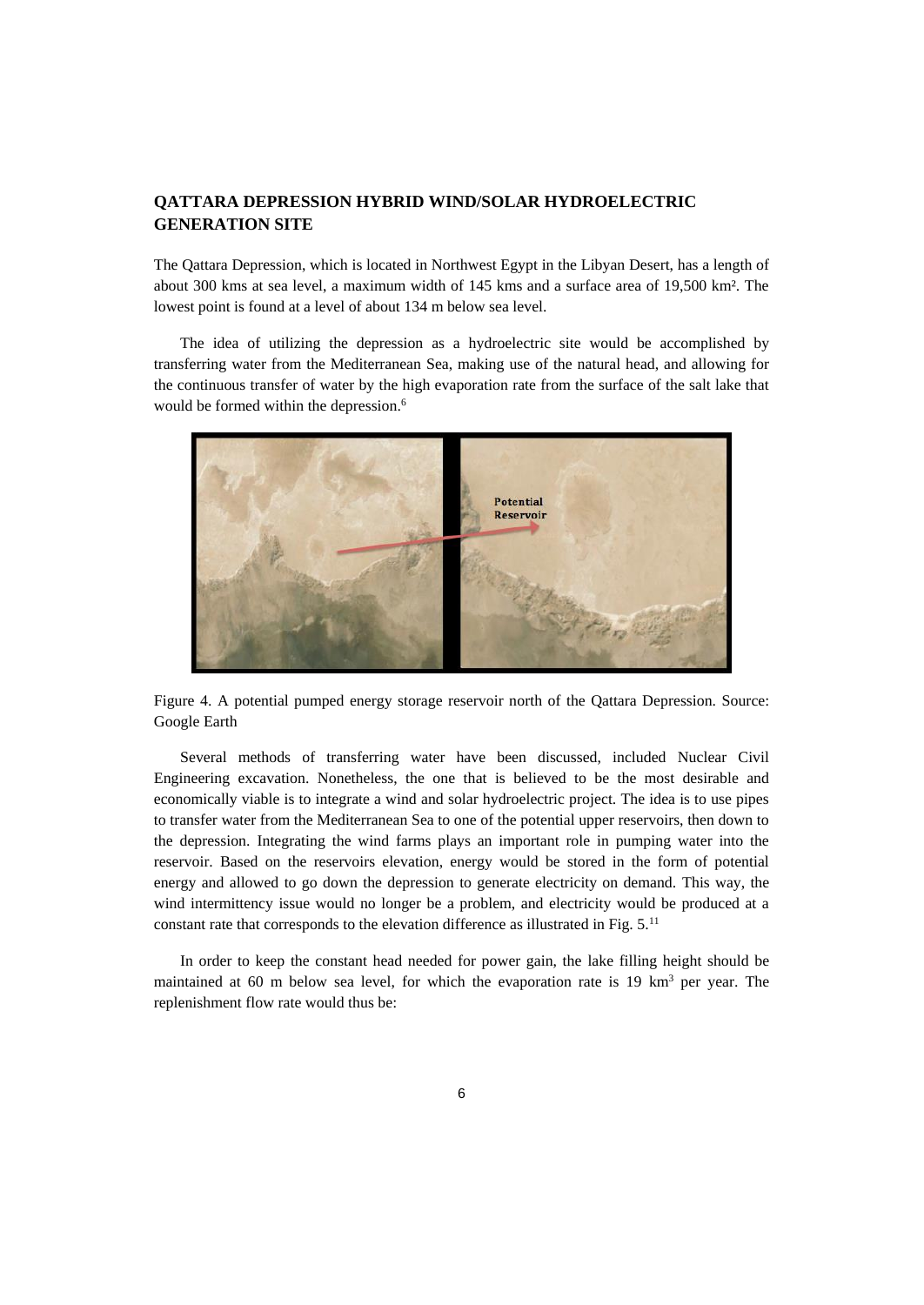# **QATTARA DEPRESSION HYBRID WIND/SOLAR HYDROELECTRIC GENERATION SITE**

The Qattara Depression, which is located in Northwest Egypt in the Libyan Desert, has a length of about 300 kms at sea level, a maximum width of 145 kms and a surface area of 19,500 km². The lowest point is found at a level of about 134 m below sea level.

The idea of utilizing the depression as a hydroelectric site would be accomplished by transferring water from the Mediterranean Sea, making use of the natural head, and allowing for the continuous transfer of water by the high evaporation rate from the surface of the salt lake that would be formed within the depression.<sup>6</sup>



Figure 4. A potential pumped energy storage reservoir north of the Qattara Depression. Source: Google Earth

Several methods of transferring water have been discussed, included Nuclear Civil Engineering excavation. Nonetheless, the one that is believed to be the most desirable and economically viable is to integrate a wind and solar hydroelectric project. The idea is to use pipes to transfer water from the Mediterranean Sea to one of the potential upper reservoirs, then down to the depression. Integrating the wind farms plays an important role in pumping water into the reservoir. Based on the reservoirs elevation, energy would be stored in the form of potential energy and allowed to go down the depression to generate electricity on demand. This way, the wind intermittency issue would no longer be a problem, and electricity would be produced at a constant rate that corresponds to the elevation difference as illustrated in Fig. 5.<sup>11</sup>

In order to keep the constant head needed for power gain, the lake filling height should be maintained at 60 m below sea level, for which the evaporation rate is 19 km<sup>3</sup> per year. The replenishment flow rate would thus be: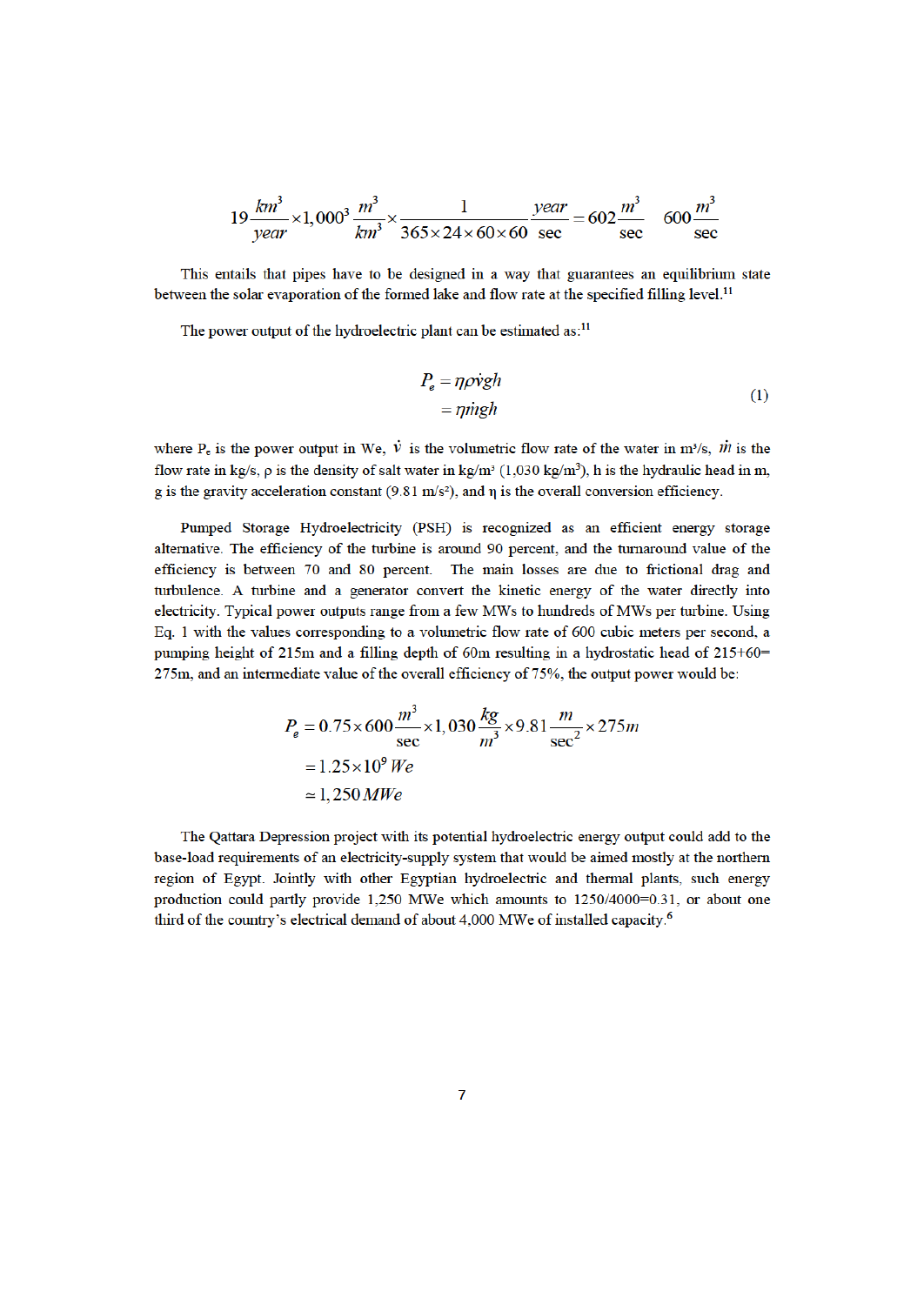$$
19\frac{km^3}{year} \times 1,000^3 \frac{m^3}{km^3} \times \frac{1}{365 \times 24 \times 60 \times 60 \text{ sec}} \frac{year}{sec} = 602 \frac{m^3}{sec} \quad 600 \frac{m^3}{sec}
$$

This entails that pipes have to be designed in a way that guarantees an equilibrium state between the solar evaporation of the formed lake and flow rate at the specified filling level.<sup>11</sup>

The power output of the hydroelectric plant can be estimated as:<sup>11</sup>

$$
P_e = \eta \rho \dot{v}gh
$$
  
=  $\eta \dot{m}gh$  (1)

where P<sub>e</sub> is the power output in We,  $\dot{v}$  is the volumetric flow rate of the water in m<sup>3</sup>/s,  $\dot{m}$  is the flow rate in  $k\alpha/s$ ,  $\rho$  is the density of salt water in  $k\alpha/m^3$  (1.030  $k\alpha/m^3$ ). h is the hydraulic head in m. g is the gravity acceleration constant (9.81 m/s<sup>2</sup>), and  $\eta$  is the overall conversion efficiency.

Pumped Storage Hydroelectricity (PSH) is recognized as an efficient energy storage alternative. The efficiency of the turbine is around 90 percent, and the turnaround value of the efficiency is between 70 and 80 percent. The main losses are due to frictional drag and turbulence. A turbine and a generator convert the kinetic energy of the water directly into electricity. Typical power outputs range from a few MWs to hundreds of MWs per turbine. Using Eq. 1 with the values corresponding to a volumetric flow rate of 600 cubic meters per second, a pumping height of 215m and a filling depth of 60m resulting in a hydrostatic head of 215+60= 275m, and an intermediate value of the overall efficiency of 75%, the output power would be:

$$
P_e = 0.75 \times 600 \frac{m^3}{\text{sec}} \times 1,030 \frac{kg}{m^3} \times 9.81 \frac{m}{\text{sec}^2} \times 275 m
$$
  
= 1.25×10<sup>9</sup> We  
= 1,250 MWe

The Qattara Depression project with its potential hydroelectric energy output could add to the base-load requirements of an electricity-supply system that would be aimed mostly at the northern region of Egypt. Jointly with other Egyptian hydroelectric and thermal plants, such energy production could partly provide 1,250 MWe which amounts to 1250/4000=0.31, or about one third of the country's electrical demand of about 4,000 MWe of installed capacity.<sup>6</sup>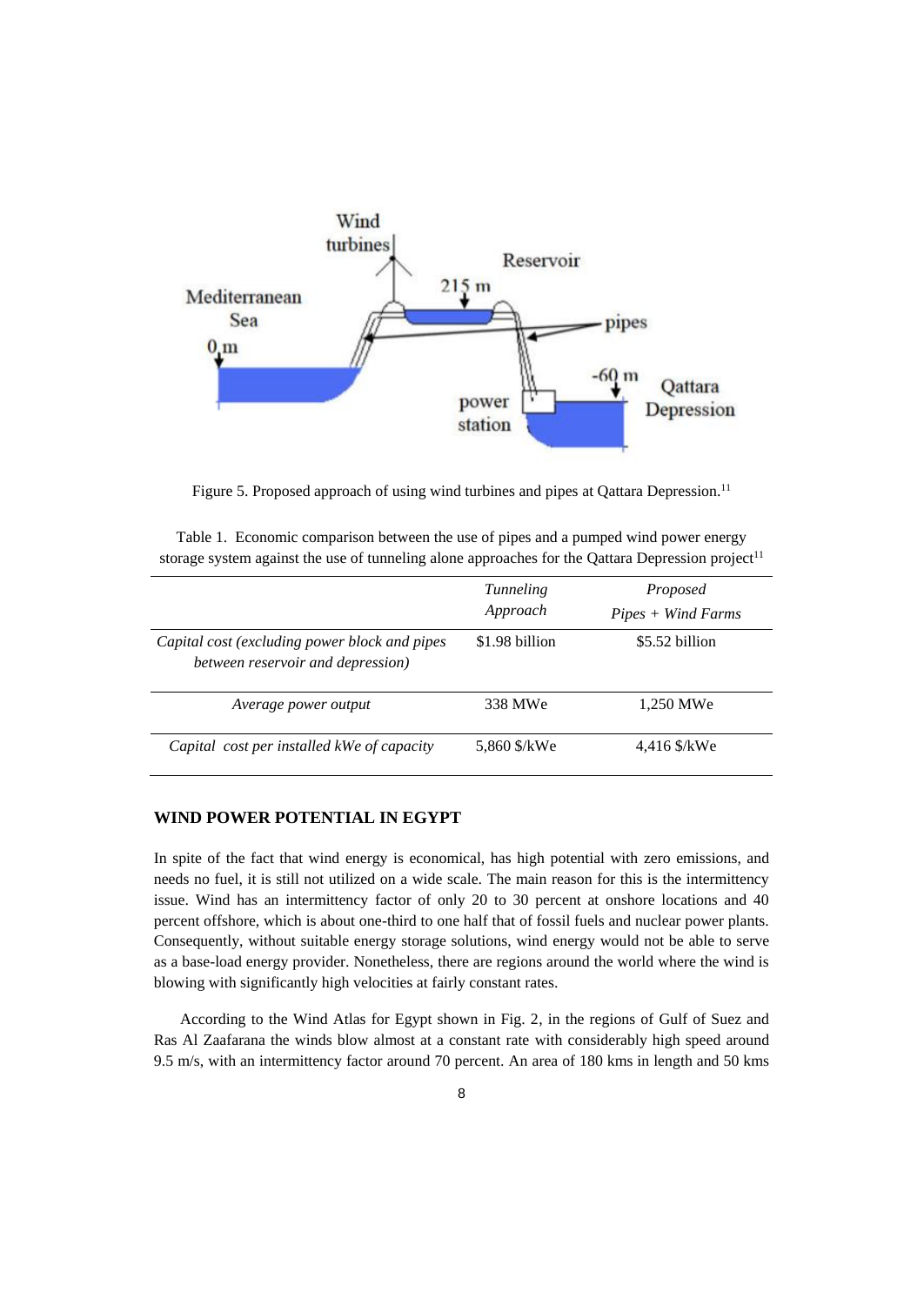

Figure 5. Proposed approach of using wind turbines and pipes at Qattara Depression.<sup>11</sup>

|                                                                                    | <b>Tunneling</b><br>Approach | Proposed<br>$Pipes + Wind \; Farms$ |
|------------------------------------------------------------------------------------|------------------------------|-------------------------------------|
| Capital cost (excluding power block and pipes<br>between reservoir and depression) | \$1.98 billion               | \$5.52 billion                      |
| Average power output                                                               | 338 MWe                      | 1,250 MWe                           |
| Capital cost per installed kWe of capacity                                         | 5,860 \$/kWe                 | 4,416 \$/kWe                        |

Table 1. Economic comparison between the use of pipes and a pumped wind power energy storage system against the use of tunneling alone approaches for the Qattara Depression project<sup>11</sup>

#### **WIND POWER POTENTIAL IN EGYPT**

In spite of the fact that wind energy is economical, has high potential with zero emissions, and needs no fuel, it is still not utilized on a wide scale. The main reason for this is the intermittency issue. Wind has an intermittency factor of only 20 to 30 percent at onshore locations and 40 percent offshore, which is about one-third to one half that of fossil fuels and nuclear power plants. Consequently, without suitable energy storage solutions, wind energy would not be able to serve as a base-load energy provider. Nonetheless, there are regions around the world where the wind is blowing with significantly high velocities at fairly constant rates.

According to the Wind Atlas for Egypt shown in Fig. 2, in the regions of Gulf of Suez and Ras Al Zaafarana the winds blow almost at a constant rate with considerably high speed around 9.5 m/s, with an intermittency factor around 70 percent. An area of 180 kms in length and 50 kms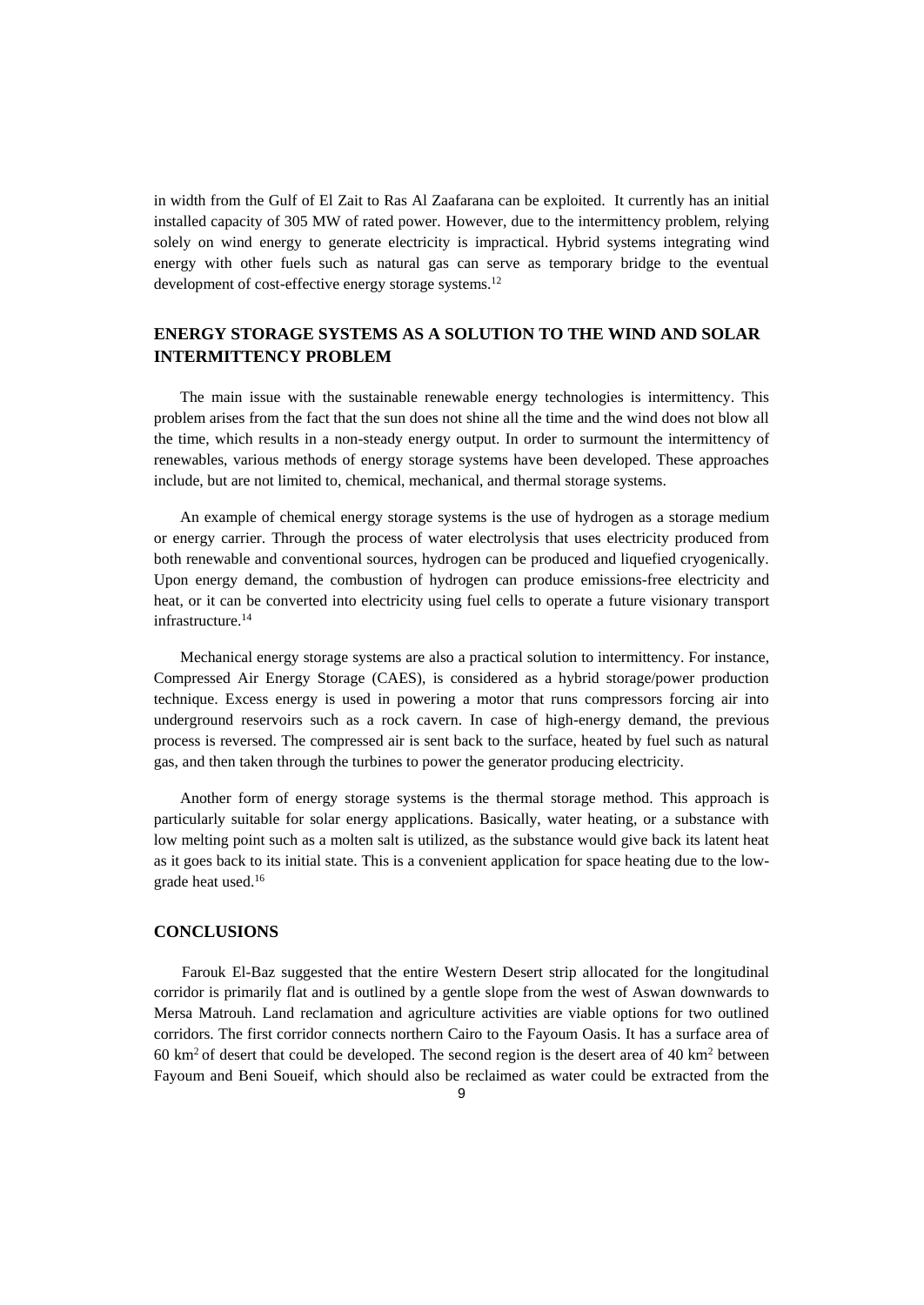in width from the Gulf of El Zait to Ras Al Zaafarana can be exploited. It currently has an initial installed capacity of 305 MW of rated power. However, due to the intermittency problem, relying solely on wind energy to generate electricity is impractical. Hybrid systems integrating wind energy with other fuels such as natural gas can serve as temporary bridge to the eventual development of cost-effective energy storage systems.<sup>12</sup>

# **ENERGY STORAGE SYSTEMS AS A SOLUTION TO THE WIND AND SOLAR INTERMITTENCY PROBLEM**

The main issue with the sustainable renewable energy technologies is intermittency. This problem arises from the fact that the sun does not shine all the time and the wind does not blow all the time, which results in a non-steady energy output. In order to surmount the intermittency of renewables, various methods of energy storage systems have been developed. These approaches include, but are not limited to, chemical, mechanical, and thermal storage systems.

An example of chemical energy storage systems is the use of hydrogen as a storage medium or energy carrier. Through the process of water electrolysis that uses electricity produced from both renewable and conventional sources, hydrogen can be produced and liquefied cryogenically. Upon energy demand, the combustion of hydrogen can produce emissions-free electricity and heat, or it can be converted into electricity using fuel cells to operate a future visionary transport infrastructure.<sup>14</sup>

Mechanical energy storage systems are also a practical solution to intermittency. For instance, Compressed Air Energy Storage (CAES), is considered as a hybrid storage/power production technique. Excess energy is used in powering a motor that runs compressors forcing air into underground reservoirs such as a rock cavern. In case of high-energy demand, the previous process is reversed. The compressed air is sent back to the surface, heated by fuel such as natural gas, and then taken through the turbines to power the generator producing electricity.

Another form of energy storage systems is the thermal storage method. This approach is particularly suitable for solar energy applications. Basically, water heating, or a substance with low melting point such as a molten salt is utilized, as the substance would give back its latent heat as it goes back to its initial state. This is a convenient application for space heating due to the lowgrade heat used.<sup>16</sup>

### **CONCLUSIONS**

Farouk El-Baz suggested that the entire Western Desert strip allocated for the longitudinal corridor is primarily flat and is outlined by a gentle slope from the west of Aswan downwards to Mersa Matrouh. Land reclamation and agriculture activities are viable options for two outlined corridors. The first corridor connects northern Cairo to the Fayoum Oasis. It has a surface area of  $60 \text{ km}^2$  of desert that could be developed. The second region is the desert area of  $40 \text{ km}^2$  between Fayoum and Beni Soueif, which should also be reclaimed as water could be extracted from the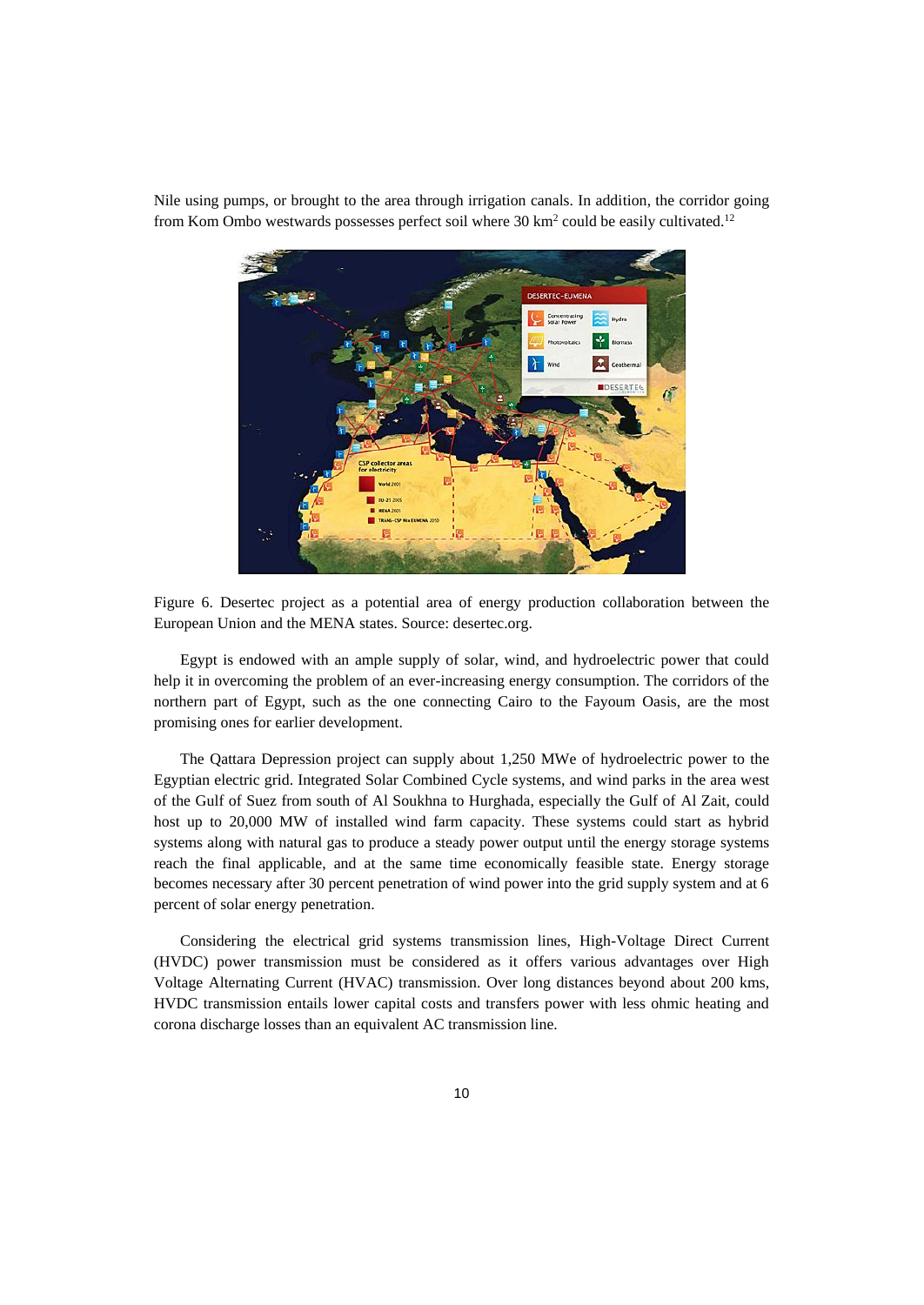Nile using pumps, or brought to the area through irrigation canals. In addition, the corridor going from Kom Ombo westwards possesses perfect soil where 30 km<sup>2</sup> could be easily cultivated.<sup>12</sup>



Figure 6. Desertec project as a potential area of energy production collaboration between the European Union and the MENA states. Source: desertec.org.

Egypt is endowed with an ample supply of solar, wind, and hydroelectric power that could help it in overcoming the problem of an ever-increasing energy consumption. The corridors of the northern part of Egypt, such as the one connecting Cairo to the Fayoum Oasis, are the most promising ones for earlier development.

The Qattara Depression project can supply about 1,250 MWe of hydroelectric power to the Egyptian electric grid. Integrated Solar Combined Cycle systems, and wind parks in the area west of the Gulf of Suez from south of Al Soukhna to Hurghada, especially the Gulf of Al Zait, could host up to 20,000 MW of installed wind farm capacity. These systems could start as hybrid systems along with natural gas to produce a steady power output until the energy storage systems reach the final applicable, and at the same time economically feasible state. Energy storage becomes necessary after 30 percent penetration of wind power into the grid supply system and at 6 percent of solar energy penetration.

Considering the electrical grid systems transmission lines, High-Voltage Direct Current (HVDC) power transmission must be considered as it offers various advantages over High Voltage Alternating Current (HVAC) transmission. Over long distances beyond about 200 kms, HVDC transmission entails lower capital costs and transfers power with less ohmic heating and corona discharge losses than an equivalent AC transmission line.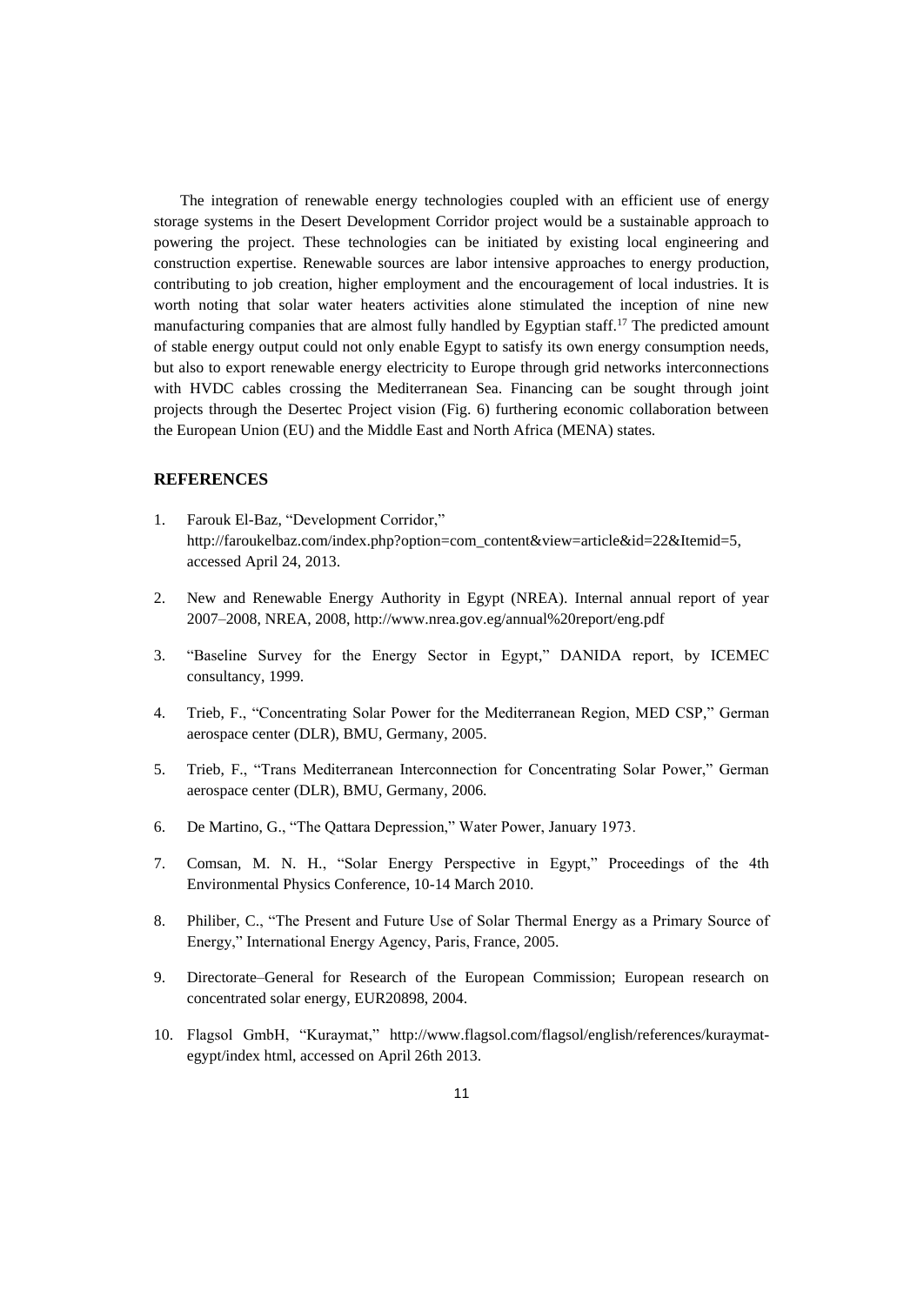The integration of renewable energy technologies coupled with an efficient use of energy storage systems in the Desert Development Corridor project would be a sustainable approach to powering the project. These technologies can be initiated by existing local engineering and construction expertise. Renewable sources are labor intensive approaches to energy production, contributing to job creation, higher employment and the encouragement of local industries. It is worth noting that solar water heaters activities alone stimulated the inception of nine new manufacturing companies that are almost fully handled by Egyptian staff.<sup>17</sup> The predicted amount of stable energy output could not only enable Egypt to satisfy its own energy consumption needs, but also to export renewable energy electricity to Europe through grid networks interconnections with HVDC cables crossing the Mediterranean Sea. Financing can be sought through joint projects through the Desertec Project vision (Fig. 6) furthering economic collaboration between the European Union (EU) and the Middle East and North Africa (MENA) states.

#### **REFERENCES**

- 1. Farouk El-Baz, "Development Corridor," http://faroukelbaz.com/index.php?option=com\_content&view=article&id=22&Itemid=5, accessed April 24, 2013.
- 2. New and Renewable Energy Authority in Egypt (NREA). Internal annual report of year 2007–2008, NREA, 2008, http://www.nrea.gov.eg/annual%20report/eng.pdf
- 3. "Baseline Survey for the Energy Sector in Egypt," DANIDA report, by ICEMEC consultancy, 1999.
- 4. Trieb, F., "Concentrating Solar Power for the Mediterranean Region, MED CSP," German aerospace center (DLR), BMU, Germany, 2005.
- 5. Trieb, F., "Trans Mediterranean Interconnection for Concentrating Solar Power," German aerospace center (DLR), BMU, Germany, 2006.
- 6. De Martino, G., "The Qattara Depression," Water Power, January 1973.
- 7. Comsan, M. N. H., "Solar Energy Perspective in Egypt," Proceedings of the 4th Environmental Physics Conference, 10-14 March 2010.
- 8. Philiber, C., "The Present and Future Use of Solar Thermal Energy as a Primary Source of Energy," International Energy Agency, Paris, France, 2005.
- 9. Directorate–General for Research of the European Commission; European research on concentrated solar energy, EUR20898, 2004.
- 10. Flagsol GmbH, "Kuraymat," http://www.flagsol.com/flagsol/english/references/kuraymategypt/index html, accessed on April 26th 2013.